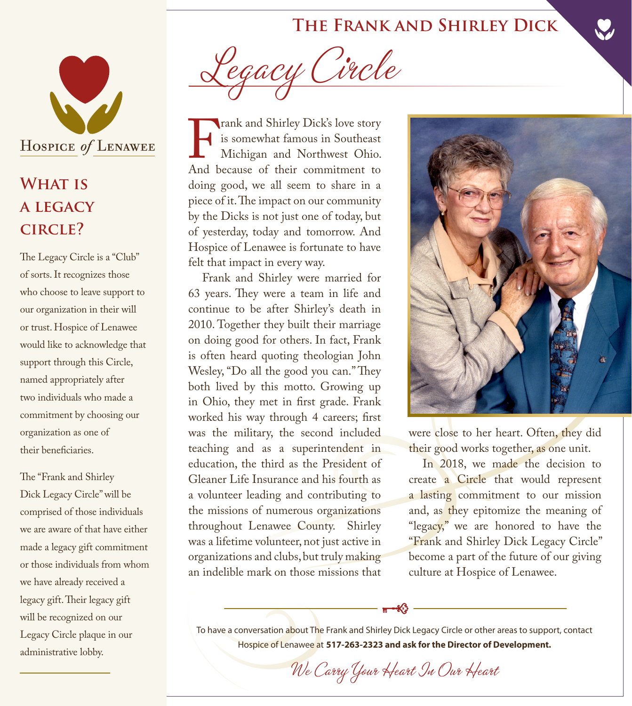## **The Frank and Shirley Dick**



## **WHAT IS a legacy circle?**

The Legacy Circle is a "Club" of sorts. It recognizes those who choose to leave support to our organization in their will or trust. Hospice of Lenawee would like to acknowledge that support through this Circle, named appropriately after two individuals who made a commitment by choosing our organization as one of their beneficiaries.

The "Frank and Shirley Dick Legacy Circle" will be comprised of those individuals we are aware of that have either made a legacy gift commitment or those individuals from whom we have already received a legacy gift. Their legacy gift will be recognized on our Legacy Circle plaque in our administrative lobby.

Legacy Circle

Frank and Shirley Dick's love story<br>is somewhat famous in Southeast<br>Michigan and Northwest Ohio.<br>And because of their commitment to is somewhat famous in Southeast Michigan and Northwest Ohio. And because of their commitment to doing good, we all seem to share in a piece of it. The impact on our community by the Dicks is not just one of today, but of yesterday, today and tomorrow. And Hospice of Lenawee is fortunate to have felt that impact in every way.

Frank and Shirley were married for 63 years. They were a team in life and continue to be after Shirley's death in 2010. Together they built their marriage on doing good for others. In fact, Frank is often heard quoting theologian John Wesley, "Do all the good you can." They both lived by this motto. Growing up in Ohio, they met in first grade. Frank worked his way through 4 careers; first was the military, the second included teaching and as a superintendent in education, the third as the President of Gleaner Life Insurance and his fourth as a volunteer leading and contributing to the missions of numerous organizations throughout Lenawee County. Shirley was a lifetime volunteer, not just active in organizations and clubs, but truly making an indelible mark on those missions that



were close to her heart. Often, they did their good works together, as one unit.

In 2018, we made the decision to create a Circle that would represent a lasting commitment to our mission and, as they epitomize the meaning of "legacy," we are honored to have the "Frank and Shirley Dick Legacy Circle" become a part of the future of our giving culture at Hospice of Lenawee.

To have a conversation about The Frank and Shirley Dick Legacy Circle or other areas to support, contact Hospice of Lenawee at **517-263-2323 and ask for the Director of Development.**

We Carry Your Heart In Our Heart